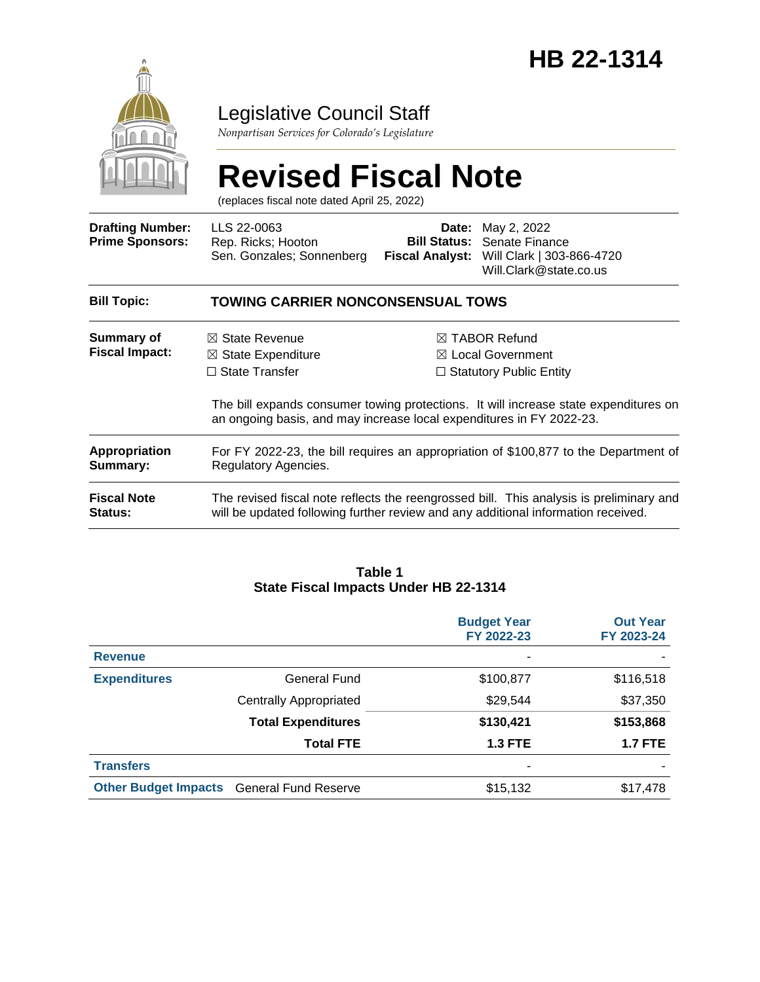

# Legislative Council Staff

*Nonpartisan Services for Colorado's Legislature*

# **Revised Fiscal Note**

(replaces fiscal note dated April 25, 2022)

| <b>Drafting Number:</b><br><b>Prime Sponsors:</b> | LLS 22-0063<br>Rep. Ricks; Hooton<br>Sen. Gonzales; Sonnenberg                                                                                                               | <b>Fiscal Analyst:</b> | <b>Date:</b> May 2, 2022<br><b>Bill Status: Senate Finance</b><br>Will Clark   303-866-4720<br>Will.Clark@state.co.us |  |  |
|---------------------------------------------------|------------------------------------------------------------------------------------------------------------------------------------------------------------------------------|------------------------|-----------------------------------------------------------------------------------------------------------------------|--|--|
| <b>Bill Topic:</b>                                | <b>TOWING CARRIER NONCONSENSUAL TOWS</b>                                                                                                                                     |                        |                                                                                                                       |  |  |
| <b>Summary of</b><br><b>Fiscal Impact:</b>        | $\boxtimes$ State Revenue<br>$\boxtimes$ State Expenditure                                                                                                                   |                        | $\boxtimes$ TABOR Refund<br>$\boxtimes$ Local Government                                                              |  |  |
|                                                   | $\Box$ State Transfer                                                                                                                                                        |                        | $\Box$ Statutory Public Entity                                                                                        |  |  |
|                                                   | The bill expands consumer towing protections. It will increase state expenditures on<br>an ongoing basis, and may increase local expenditures in FY 2022-23.                 |                        |                                                                                                                       |  |  |
| <b>Appropriation</b><br>Summary:                  | For FY 2022-23, the bill requires an appropriation of \$100,877 to the Department of<br>Regulatory Agencies.                                                                 |                        |                                                                                                                       |  |  |
| <b>Fiscal Note</b><br><b>Status:</b>              | The revised fiscal note reflects the reengrossed bill. This analysis is preliminary and<br>will be updated following further review and any additional information received. |                        |                                                                                                                       |  |  |

#### **Table 1 State Fiscal Impacts Under HB 22-1314**

|                             |                               | <b>Budget Year</b><br>FY 2022-23 | <b>Out Year</b><br>FY 2023-24 |
|-----------------------------|-------------------------------|----------------------------------|-------------------------------|
| <b>Revenue</b>              |                               | ۰                                |                               |
| <b>Expenditures</b>         | General Fund                  | \$100,877                        | \$116,518                     |
|                             | <b>Centrally Appropriated</b> | \$29,544                         | \$37,350                      |
|                             | <b>Total Expenditures</b>     | \$130,421                        | \$153,868                     |
|                             | <b>Total FTE</b>              | <b>1.3 FTE</b>                   | <b>1.7 FTE</b>                |
| <b>Transfers</b>            |                               | ۰                                |                               |
| <b>Other Budget Impacts</b> | <b>General Fund Reserve</b>   | \$15,132                         | \$17,478                      |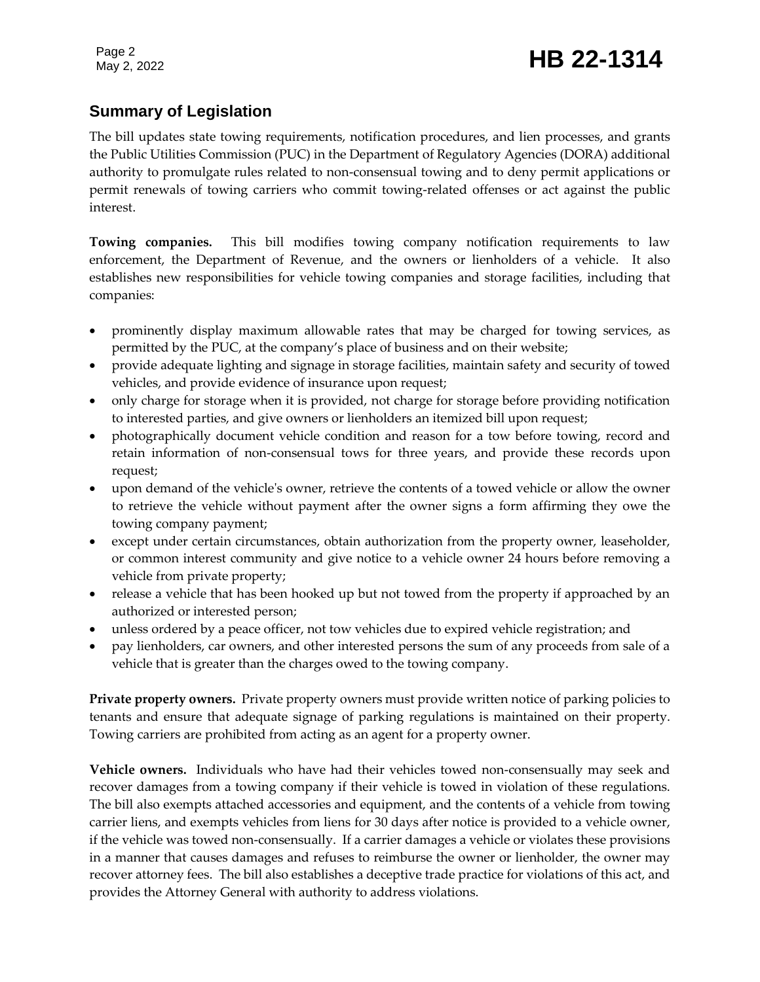# **Summary of Legislation**

The bill updates state towing requirements, notification procedures, and lien processes, and grants the Public Utilities Commission (PUC) in the Department of Regulatory Agencies (DORA) additional authority to promulgate rules related to non-consensual towing and to deny permit applications or permit renewals of towing carriers who commit towing-related offenses or act against the public interest.

**Towing companies.** This bill modifies towing company notification requirements to law enforcement, the Department of Revenue, and the owners or lienholders of a vehicle. It also establishes new responsibilities for vehicle towing companies and storage facilities, including that companies:

- prominently display maximum allowable rates that may be charged for towing services, as permitted by the PUC, at the company's place of business and on their website;
- provide adequate lighting and signage in storage facilities, maintain safety and security of towed vehicles, and provide evidence of insurance upon request;
- only charge for storage when it is provided, not charge for storage before providing notification to interested parties, and give owners or lienholders an itemized bill upon request;
- photographically document vehicle condition and reason for a tow before towing, record and retain information of non-consensual tows for three years, and provide these records upon request;
- upon demand of the vehicle's owner, retrieve the contents of a towed vehicle or allow the owner to retrieve the vehicle without payment after the owner signs a form affirming they owe the towing company payment;
- except under certain circumstances, obtain authorization from the property owner, leaseholder, or common interest community and give notice to a vehicle owner 24 hours before removing a vehicle from private property;
- release a vehicle that has been hooked up but not towed from the property if approached by an authorized or interested person;
- unless ordered by a peace officer, not tow vehicles due to expired vehicle registration; and
- pay lienholders, car owners, and other interested persons the sum of any proceeds from sale of a vehicle that is greater than the charges owed to the towing company.

**Private property owners.** Private property owners must provide written notice of parking policies to tenants and ensure that adequate signage of parking regulations is maintained on their property. Towing carriers are prohibited from acting as an agent for a property owner.

**Vehicle owners.** Individuals who have had their vehicles towed non-consensually may seek and recover damages from a towing company if their vehicle is towed in violation of these regulations. The bill also exempts attached accessories and equipment, and the contents of a vehicle from towing carrier liens, and exempts vehicles from liens for 30 days after notice is provided to a vehicle owner, if the vehicle was towed non-consensually. If a carrier damages a vehicle or violates these provisions in a manner that causes damages and refuses to reimburse the owner or lienholder, the owner may recover attorney fees. The bill also establishes a deceptive trade practice for violations of this act, and provides the Attorney General with authority to address violations.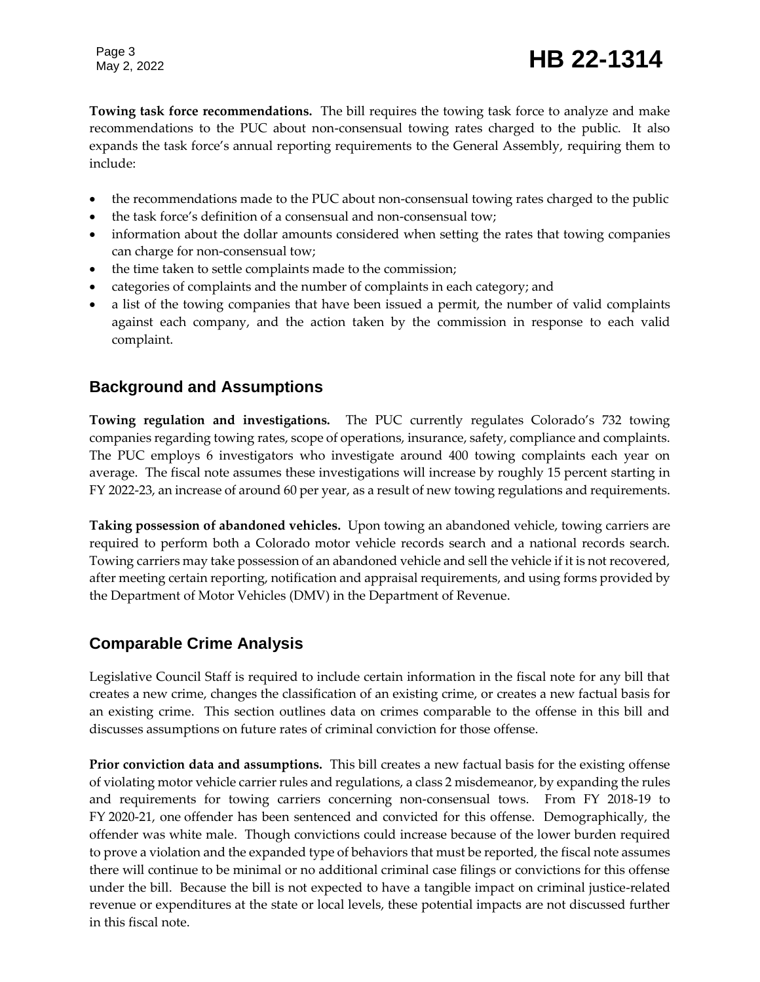# Page 3<br>May 2, 2022 **HB 22-1314**

**Towing task force recommendations.** The bill requires the towing task force to analyze and make recommendations to the PUC about non-consensual towing rates charged to the public. It also expands the task force's annual reporting requirements to the General Assembly, requiring them to include:

- the recommendations made to the PUC about non-consensual towing rates charged to the public
- the task force's definition of a consensual and non-consensual tow;
- information about the dollar amounts considered when setting the rates that towing companies can charge for non-consensual tow;
- the time taken to settle complaints made to the commission;
- categories of complaints and the number of complaints in each category; and
- a list of the towing companies that have been issued a permit, the number of valid complaints against each company, and the action taken by the commission in response to each valid complaint.

## **Background and Assumptions**

**Towing regulation and investigations.** The PUC currently regulates Colorado's 732 towing companies regarding towing rates, scope of operations, insurance, safety, compliance and complaints. The PUC employs 6 investigators who investigate around 400 towing complaints each year on average. The fiscal note assumes these investigations will increase by roughly 15 percent starting in FY 2022-23, an increase of around 60 per year, as a result of new towing regulations and requirements.

**Taking possession of abandoned vehicles.** Upon towing an abandoned vehicle, towing carriers are required to perform both a Colorado motor vehicle records search and a national records search. Towing carriers may take possession of an abandoned vehicle and sell the vehicle if it is not recovered, after meeting certain reporting, notification and appraisal requirements, and using forms provided by the Department of Motor Vehicles (DMV) in the Department of Revenue.

## **Comparable Crime Analysis**

Legislative Council Staff is required to include certain information in the fiscal note for any bill that creates a new crime, changes the classification of an existing crime, or creates a new factual basis for an existing crime. This section outlines data on crimes comparable to the offense in this bill and discusses assumptions on future rates of criminal conviction for those offense.

**Prior conviction data and assumptions.** This bill creates a new factual basis for the existing offense of violating motor vehicle carrier rules and regulations, a class 2 misdemeanor, by expanding the rules and requirements for towing carriers concerning non-consensual tows. From FY 2018-19 to FY 2020-21, one offender has been sentenced and convicted for this offense. Demographically, the offender was white male. Though convictions could increase because of the lower burden required to prove a violation and the expanded type of behaviors that must be reported, the fiscal note assumes there will continue to be minimal or no additional criminal case filings or convictions for this offense under the bill. Because the bill is not expected to have a tangible impact on criminal justice-related revenue or expenditures at the state or local levels, these potential impacts are not discussed further in this fiscal note.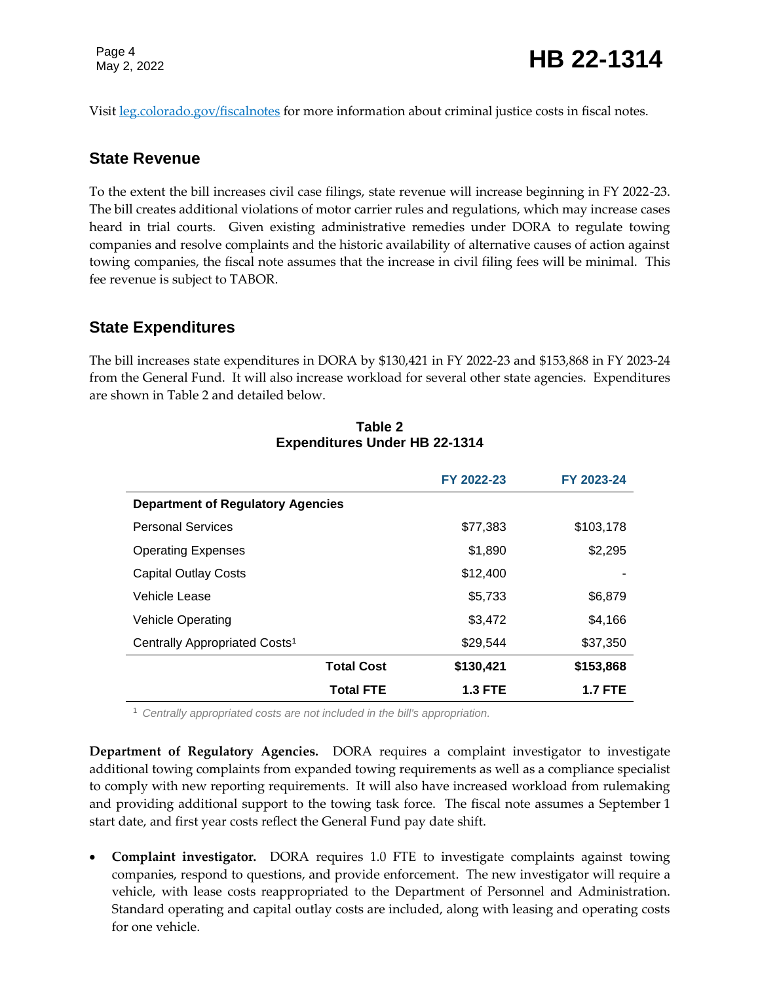Visit [leg.colorado.gov/fiscalnotes](http://leg.colorado.gov/fiscalnotes/) for more information about criminal justice costs in fiscal notes.

#### **State Revenue**

To the extent the bill increases civil case filings, state revenue will increase beginning in FY 2022-23. The bill creates additional violations of motor carrier rules and regulations, which may increase cases heard in trial courts. Given existing administrative remedies under DORA to regulate towing companies and resolve complaints and the historic availability of alternative causes of action against towing companies, the fiscal note assumes that the increase in civil filing fees will be minimal. This fee revenue is subject to TABOR.

### **State Expenditures**

The bill increases state expenditures in DORA by \$130,421 in FY 2022-23 and \$153,868 in FY 2023-24 from the General Fund. It will also increase workload for several other state agencies. Expenditures are shown in Table 2 and detailed below.

|                                           | FY 2022-23     | FY 2023-24     |
|-------------------------------------------|----------------|----------------|
| <b>Department of Regulatory Agencies</b>  |                |                |
| <b>Personal Services</b>                  | \$77,383       | \$103,178      |
| <b>Operating Expenses</b>                 | \$1,890        | \$2,295        |
| <b>Capital Outlay Costs</b>               | \$12,400       |                |
| Vehicle Lease                             | \$5,733        | \$6,879        |
| <b>Vehicle Operating</b>                  | \$3,472        | \$4,166        |
| Centrally Appropriated Costs <sup>1</sup> | \$29,544       | \$37,350       |
| <b>Total Cost</b>                         | \$130,421      | \$153,868      |
| <b>Total FTE</b>                          | <b>1.3 FTE</b> | <b>1.7 FTE</b> |

#### **Table 2 Expenditures Under HB 22-1314**

<sup>1</sup> *Centrally appropriated costs are not included in the bill's appropriation.*

**Department of Regulatory Agencies.** DORA requires a complaint investigator to investigate additional towing complaints from expanded towing requirements as well as a compliance specialist to comply with new reporting requirements. It will also have increased workload from rulemaking and providing additional support to the towing task force. The fiscal note assumes a September 1 start date, and first year costs reflect the General Fund pay date shift.

 **Complaint investigator.** DORA requires 1.0 FTE to investigate complaints against towing companies, respond to questions, and provide enforcement. The new investigator will require a vehicle, with lease costs reappropriated to the Department of Personnel and Administration. Standard operating and capital outlay costs are included, along with leasing and operating costs for one vehicle.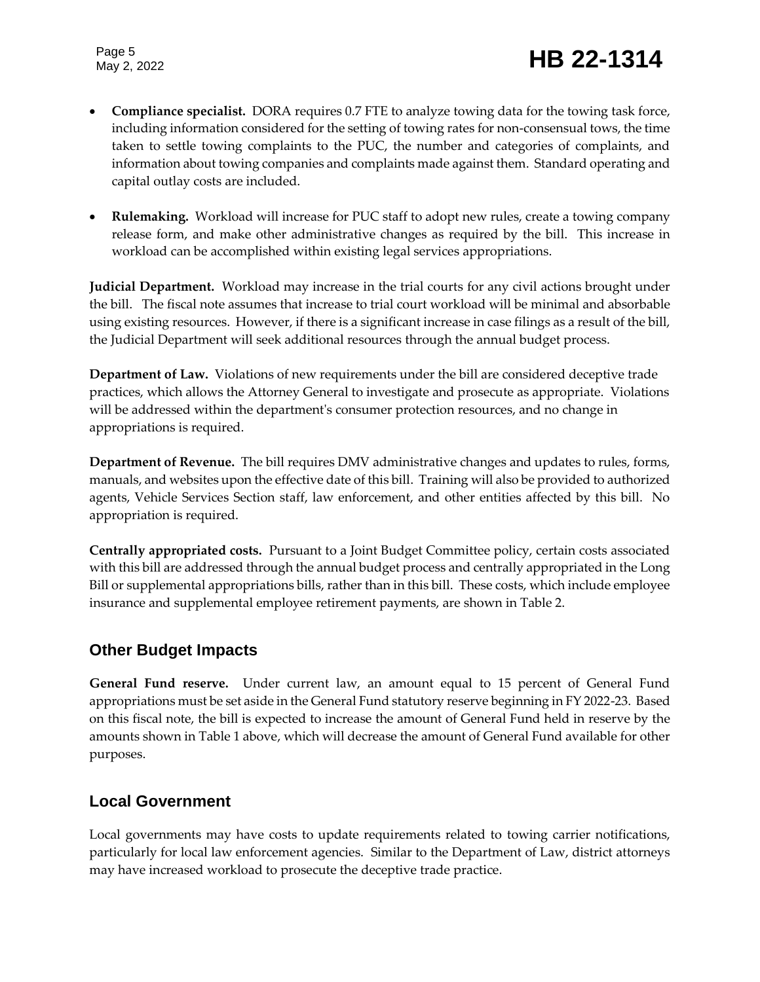# Page 5<br>May 2, 2022 **HB 22-1314**

- **Compliance specialist.** DORA requires 0.7 FTE to analyze towing data for the towing task force, including information considered for the setting of towing rates for non-consensual tows, the time taken to settle towing complaints to the PUC, the number and categories of complaints, and information about towing companies and complaints made against them. Standard operating and capital outlay costs are included.
- **Rulemaking.** Workload will increase for PUC staff to adopt new rules, create a towing company release form, and make other administrative changes as required by the bill. This increase in workload can be accomplished within existing legal services appropriations.

**Judicial Department.** Workload may increase in the trial courts for any civil actions brought under the bill. The fiscal note assumes that increase to trial court workload will be minimal and absorbable using existing resources. However, if there is a significant increase in case filings as a result of the bill, the Judicial Department will seek additional resources through the annual budget process.

**Department of Law.** Violations of new requirements under the bill are considered deceptive trade practices, which allows the Attorney General to investigate and prosecute as appropriate. Violations will be addressed within the department's consumer protection resources, and no change in appropriations is required.

**Department of Revenue.** The bill requires DMV administrative changes and updates to rules, forms, manuals, and websites upon the effective date of this bill. Training will also be provided to authorized agents, Vehicle Services Section staff, law enforcement, and other entities affected by this bill. No appropriation is required.

**Centrally appropriated costs.** Pursuant to a Joint Budget Committee policy, certain costs associated with this bill are addressed through the annual budget process and centrally appropriated in the Long Bill or supplemental appropriations bills, rather than in this bill. These costs, which include employee insurance and supplemental employee retirement payments, are shown in Table 2.

# **Other Budget Impacts**

**General Fund reserve.** Under current law, an amount equal to 15 percent of General Fund appropriations must be set aside in the General Fund statutory reserve beginning in FY 2022-23. Based on this fiscal note, the bill is expected to increase the amount of General Fund held in reserve by the amounts shown in Table 1 above, which will decrease the amount of General Fund available for other purposes.

# **Local Government**

Local governments may have costs to update requirements related to towing carrier notifications, particularly for local law enforcement agencies. Similar to the Department of Law, district attorneys may have increased workload to prosecute the deceptive trade practice.